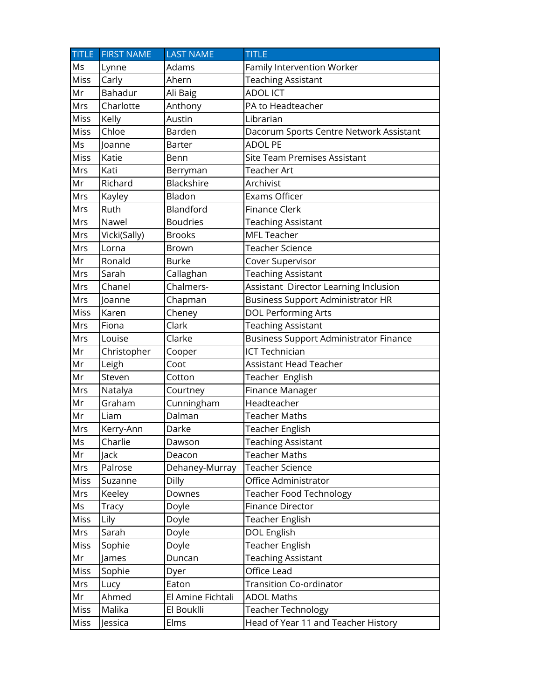| <b>TITLE</b> | <b>FIRST NAME</b> | <b>LAST NAME</b>  | <b>TITLE</b>                                  |
|--------------|-------------------|-------------------|-----------------------------------------------|
| Ms           | Lynne             | Adams             | Family Intervention Worker                    |
| Miss         | Carly             | Ahern             | <b>Teaching Assistant</b>                     |
| Mr           | Bahadur           | Ali Baig          | <b>ADOLICT</b>                                |
| Mrs          | Charlotte         | Anthony           | PA to Headteacher                             |
| Miss         | Kelly             | Austin            | Librarian                                     |
| Miss         | Chloe             | Barden            | Dacorum Sports Centre Network Assistant       |
| Ms           | Joanne            | Barter            | <b>ADOL PE</b>                                |
| Miss         | Katie             | Benn              | <b>Site Team Premises Assistant</b>           |
| Mrs          | Kati              | Berryman          | Teacher Art                                   |
| Mr           | Richard           | Blackshire        | Archivist                                     |
| Mrs          | Kayley            | Bladon            | Exams Officer                                 |
| Mrs          | Ruth              | Blandford         | <b>Finance Clerk</b>                          |
| Mrs          | Nawel             | <b>Boudries</b>   | <b>Teaching Assistant</b>                     |
| Mrs          | Vicki(Sally)      | <b>Brooks</b>     | <b>MFL Teacher</b>                            |
| Mrs          | Lorna             | Brown             | <b>Teacher Science</b>                        |
| Mr           | Ronald            | <b>Burke</b>      | Cover Supervisor                              |
| Mrs          | Sarah             | Callaghan         | <b>Teaching Assistant</b>                     |
| Mrs          | Chanel            | Chalmers-         | Assistant Director Learning Inclusion         |
| Mrs          | Joanne            | Chapman           | <b>Business Support Administrator HR</b>      |
| Miss         | Karen             | Cheney            | <b>DOL Performing Arts</b>                    |
| Mrs          | Fiona             | Clark             | <b>Teaching Assistant</b>                     |
| Mrs          | Louise            | Clarke            | <b>Business Support Administrator Finance</b> |
| Mr           | Christopher       | Cooper            | <b>ICT Technician</b>                         |
| Mr           | Leigh             | Coot              | Assistant Head Teacher                        |
| Mr           | Steven            | Cotton            | Teacher English                               |
| Mrs          | Natalya           | Courtney          | Finance Manager                               |
| Mr           | Graham            | Cunningham        | Headteacher                                   |
| Mr           | Liam              | Dalman            | <b>Teacher Maths</b>                          |
| Mrs          | Kerry-Ann         | Darke             | Teacher English                               |
| Ms           | Charlie           | Dawson            | <b>Teaching Assistant</b>                     |
| Mr           | Jack              | Deacon            | <b>Teacher Maths</b>                          |
| Mrs          | Palrose           | Dehaney-Murray    | <b>Teacher Science</b>                        |
| Miss         | Suzanne           | Dilly             | Office Administrator                          |
| Mrs          | Keeley            | Downes            | <b>Teacher Food Technology</b>                |
| Ms           | <b>Tracy</b>      | Doyle             | Finance Director                              |
| <b>Miss</b>  | Lily              | Doyle             | Teacher English                               |
| Mrs          | Sarah             | Doyle             | DOL English                                   |
| Miss         | Sophie            | Doyle             | Teacher English                               |
| Mr           | James             | Duncan            | <b>Teaching Assistant</b>                     |
| Miss         | Sophie            | Dyer              | Office Lead                                   |
| Mrs          | Lucy              | Eaton             | <b>Transition Co-ordinator</b>                |
| Mr           | Ahmed             | El Amine Fichtali | <b>ADOL Maths</b>                             |
| Miss         | Malika            | El Bouklli        | Teacher Technology                            |
| Miss         | Jessica           | Elms              | Head of Year 11 and Teacher History           |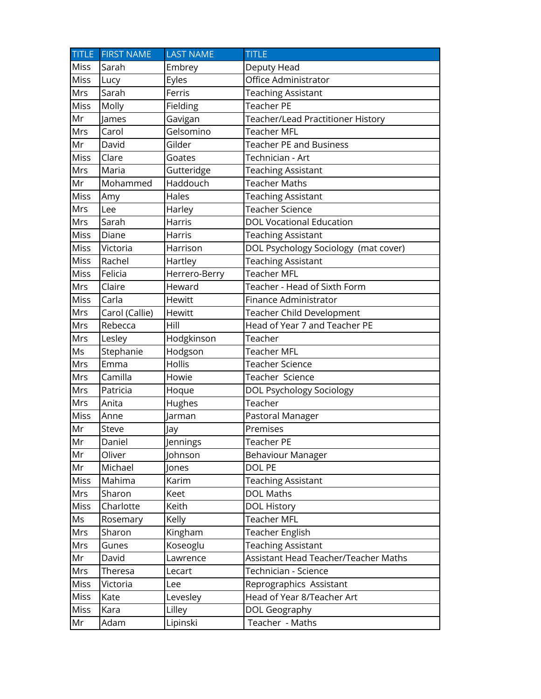|             | TITLE FIRST NAME | <b>LAST NAME</b> | <b>TITLE</b>                         |
|-------------|------------------|------------------|--------------------------------------|
| Miss        | Sarah            | Embrey           | Deputy Head                          |
| Miss        | Lucy             | Eyles            | Office Administrator                 |
| Mrs         | Sarah            | Ferris           | <b>Teaching Assistant</b>            |
| Miss        | Molly            | Fielding         | <b>Teacher PE</b>                    |
| Mr          | James            | Gavigan          | Teacher/Lead Practitioner History    |
| Mrs         | Carol            | Gelsomino        | <b>Teacher MFL</b>                   |
| Mr          | David            | Gilder           | <b>Teacher PE and Business</b>       |
| <b>Miss</b> | Clare            | Goates           | Technician - Art                     |
| Mrs         | Maria            | Gutteridge       | <b>Teaching Assistant</b>            |
| Mr          | Mohammed         | Haddouch         | <b>Teacher Maths</b>                 |
| Miss        | Amy              | Hales            | <b>Teaching Assistant</b>            |
| Mrs         | Lee              | Harley           | Teacher Science                      |
| Mrs         | Sarah            | <b>Harris</b>    | <b>DOL Vocational Education</b>      |
| Miss        | Diane            | <b>Harris</b>    | <b>Teaching Assistant</b>            |
| Miss        | Victoria         | Harrison         | DOL Psychology Sociology (mat cover) |
| Miss        | Rachel           | Hartley          | Teaching Assistant                   |
| Miss        | Felicia          | Herrero-Berry    | Teacher MFL                          |
| Mrs         | Claire           | Heward           | Teacher - Head of Sixth Form         |
| Miss        | Carla            | Hewitt           | Finance Administrator                |
| Mrs         | Carol (Callie)   | Hewitt           | Teacher Child Development            |
| Mrs         | Rebecca          | Hill             | Head of Year 7 and Teacher PE        |
| Mrs         | Lesley           | Hodgkinson       | Teacher                              |
| Ms          | Stephanie        | Hodgson          | Teacher MFL                          |
| Mrs         | Emma             | Hollis           | Teacher Science                      |
| Mrs         | Camilla          | Howie            | Teacher Science                      |
| Mrs         | Patricia         | Hoque            | DOL Psychology Sociology             |
| Mrs         | Anita            | Hughes           | Teacher                              |
| Miss        | Anne             | Jarman           | Pastoral Manager                     |
| Mr          | Steve            | Jay              | Premises                             |
| Mr          | Daniel           | Jennings         | Teacher PE                           |
| Mr          | Oliver           | Johnson          | Behaviour Manager                    |
| Mr          | Michael          | Jones            | DOL PE                               |
| Miss        | Mahima           | Karim            | <b>Teaching Assistant</b>            |
| Mrs         | Sharon           | Keet             | <b>DOL Maths</b>                     |
| Miss        | Charlotte        | Keith            | <b>DOL History</b>                   |
| Ms          | Rosemary         | Kelly            | Teacher MFL                          |
| Mrs         | Sharon           | Kingham          | Teacher English                      |
| Mrs         | Gunes            | Koseoglu         | <b>Teaching Assistant</b>            |
| Mr          | David            | Lawrence         | Assistant Head Teacher/Teacher Maths |
| Mrs         | Theresa          | Lecart           | Technician - Science                 |
| Miss        | Victoria         | Lee              | Reprographics Assistant              |
| <b>Miss</b> | Kate             | Levesley         | Head of Year 8/Teacher Art           |
| Miss        | Kara             | Lilley           | DOL Geography                        |
| Mr          | Adam             | Lipinski         | Teacher - Maths                      |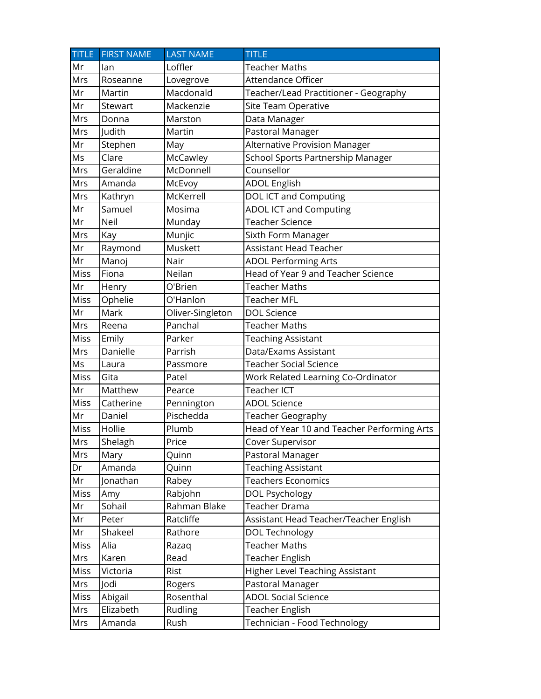| <b>TITLE</b> | <b>FIRST NAME</b> | <b>LAST NAME</b> | <b>TITLE</b>                                |
|--------------|-------------------|------------------|---------------------------------------------|
| Mr           | lan               | Loffler          | Teacher Maths                               |
| Mrs          | Roseanne          | Lovegrove        | Attendance Officer                          |
| Mr           | Martin            | Macdonald        | Teacher/Lead Practitioner - Geography       |
| Mr           | Stewart           | Mackenzie        | Site Team Operative                         |
| Mrs          | Donna             | Marston          | Data Manager                                |
| Mrs          | Judith            | Martin           | Pastoral Manager                            |
| Mr           | Stephen           | May              | Alternative Provision Manager               |
| Ms           | Clare             | McCawley         | School Sports Partnership Manager           |
| Mrs          | Geraldine         | McDonnell        | Counsellor                                  |
| Mrs          | Amanda            | McEvoy           | <b>ADOL English</b>                         |
| Mrs          | Kathryn           | McKerrell        | DOL ICT and Computing                       |
| Mr           | Samuel            | Mosima           | <b>ADOL ICT and Computing</b>               |
| Mr           | Neil              | Munday           | <b>Teacher Science</b>                      |
| Mrs          | Kay               | Munjic           | Sixth Form Manager                          |
| Mr           | Raymond           | Muskett          | <b>Assistant Head Teacher</b>               |
| Mr           | Manoj             | Nair             | <b>ADOL Performing Arts</b>                 |
| Miss         | Fiona             | Neilan           | Head of Year 9 and Teacher Science          |
| Mr           | Henry             | O'Brien          | <b>Teacher Maths</b>                        |
| Miss         | Ophelie           | O'Hanlon         | <b>Teacher MFL</b>                          |
| Mr           | Mark              | Oliver-Singleton | <b>DOL Science</b>                          |
| Mrs          | Reena             | Panchal          | <b>Teacher Maths</b>                        |
| Miss         | Emily             | Parker           | <b>Teaching Assistant</b>                   |
| Mrs          | Danielle          | Parrish          | Data/Exams Assistant                        |
| Ms           | Laura             | Passmore         | <b>Teacher Social Science</b>               |
| <b>Miss</b>  | Gita              | Patel            | Work Related Learning Co-Ordinator          |
| Mr           | Matthew           | Pearce           | Teacher ICT                                 |
| Miss         | Catherine         | Pennington       | <b>ADOL Science</b>                         |
| Mr           | Daniel            | Pischedda        | Teacher Geography                           |
| <b>Miss</b>  | Hollie            | Plumb            | Head of Year 10 and Teacher Performing Arts |
| Mrs          | Shelagh           | Price            | Cover Supervisor                            |
| Mrs          | Mary              | Quinn            | Pastoral Manager                            |
| Dr           | Amanda            | Quinn            | <b>Teaching Assistant</b>                   |
| Mr           | Jonathan          | Rabey            | <b>Teachers Economics</b>                   |
| <b>Miss</b>  | Amy               | Rabjohn          | DOL Psychology                              |
| Mr           | Sohail            | Rahman Blake     | Teacher Drama                               |
| Mr           | Peter             | Ratcliffe        | Assistant Head Teacher/Teacher English      |
| Mr           | Shakeel           | Rathore          | DOL Technology                              |
| Miss         | Alia              | Razaq            | <b>Teacher Maths</b>                        |
| Mrs          | Karen             | Read             | <b>Teacher English</b>                      |
| Miss         | Victoria          | Rist             | Higher Level Teaching Assistant             |
| Mrs          | Jodi              | Rogers           | Pastoral Manager                            |
| Miss         | Abigail           | Rosenthal        | <b>ADOL Social Science</b>                  |
| Mrs          | Elizabeth         | Rudling          | Teacher English                             |
| Mrs          | Amanda            | Rush             | Technician - Food Technology                |